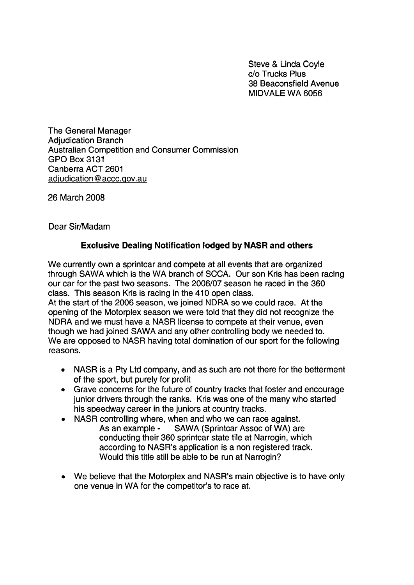Steve & Linda Coyle C/O Trucks Plus 38 Beaconsfield Avenue MIDVALE WA 6056

The General Manager Adjudication Branch Australian Competition and Consumer Commission **GPO Box 3131** Canberra ACT 2601 adjudication@accc.gov.au

26 March 2008

Dear Sir/Madam

## **Exclusive Dealing Notification lodged by NASR and others**

We currently own a sprintcar and compete at all events that are organized through SAWA which is the WA branch of SCCA. Our son Kris has been racing our car for the past two seasons. The 2006/07 season he raced in the 360 class. This season Kris is racing in the 410 open class.

At the start of the 2006 season, we joined NDRA so we could race. At the opening of the Motorplex season we were told that they did not recognize the NDRA and we must have a NASR license to compete at their venue, even though we had joined SAWA and any other controlling body we needed to. We are opposed to NASR having total domination of our sport for the following reasons.

- NASR is a Pty Ltd company, and as such are not there for the betterment of the sport, but purely for profit
- Grave concerns for the future of country tracks that foster and encourage junior drivers through the ranks. Kris was one of the many who started his speedway career in the juniors at country tracks.
- NASR controlling where, when and who we can race against. As an example - SAWA (Sprintcar Assoc of WA) are conducting their 360 sprintcar state tile at Narrogin, which according to NASR's application is a non registered track. Would this title still be able to be run at Narrogin?
- We believe that the Motorplex and NASR's main objective is to have only one venue in WA for the competitor's to race at.